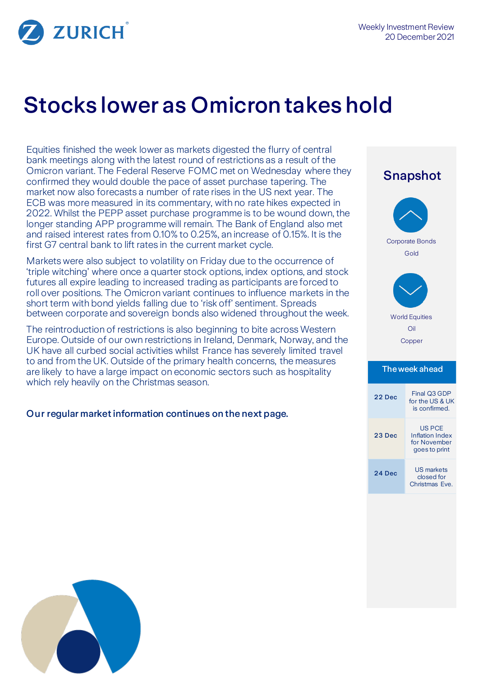

# Stocks lower as Omicron takes hold

Equities finished the week lower as markets digested the flurry of central bank meetings along with the latest round of restrictions as a result of the Omicron variant. The Federal Reserve FOMC met on Wednesday where they confirmed they would double the pace of asset purchase tapering. The market now also forecasts a number of rate rises in the US next year. The ECB was more measured in its commentary, with no rate hikes expected in 2022. Whilst the PEPP asset purchase programme is to be wound down, the longer standing APP programme will remain. The Bank of England also met and raised interest rates from 0.10% to 0.25%, an increase of 0.15%. It is the first G7 central bank to lift rates in the current market cycle.

Markets were also subject to volatility on Friday due to the occurrence of 'triple witching' where once a quarter stock options, index options, and stock futures all expire leading to increased trading as participants are forced to roll over positions. The Omicron variant continues to influence markets in the short term with bond yields falling due to 'risk off' sentiment. Spreads between corporate and sovereign bonds also widened throughout the week.

The reintroduction of restrictions is also beginning to bite across Western Europe. Outside of our own restrictions in Ireland, Denmark, Norway, and the UK have all curbed social activities whilst France has severely limited travel to and from the UK. Outside of the primary health concerns, the measures are likely to have a large impact on economic sectors such as hospitality which rely heavily on the Christmas season.

## Our regular market information continues on the next page.

# Snapshot Corporate Bonds Gold World Equities Oil Copper The week ahead

| Final Q3 GDP<br>for the US & UK<br>is confirmed.                  |
|-------------------------------------------------------------------|
| <b>US PCE</b><br>Inflation Index<br>for November<br>goes to print |
| <b>US markets</b><br>closed for<br>Christmas Eve.                 |
|                                                                   |